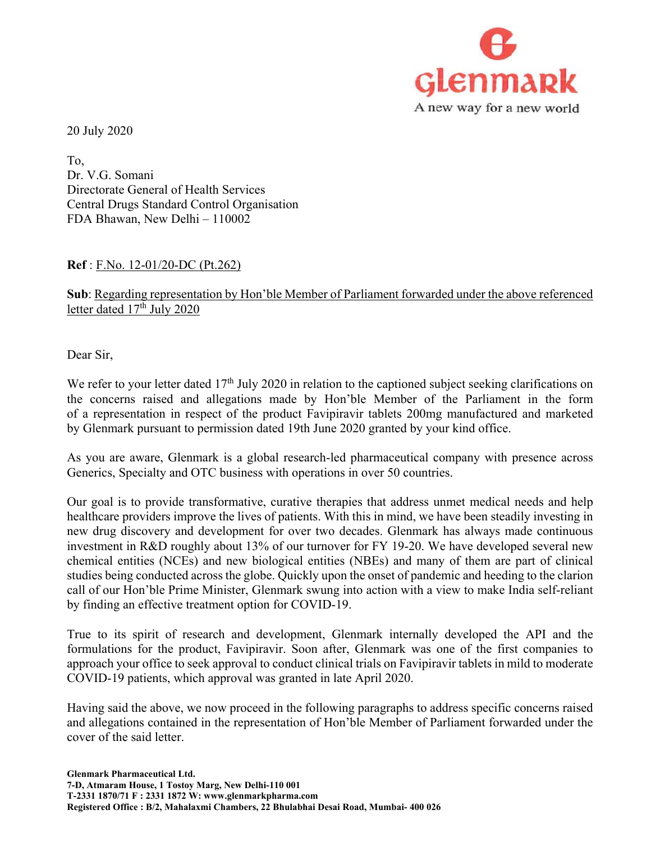

20 July 2020

To, Dr. V.G. Somani Directorate General of Health Services Central Drugs Standard Control Organisation FDA Bhawan, New Delhi – 110002

## **Ref** : F.No. 12-01/20-DC (Pt.262)

# **Sub**: Regarding representation by Hon'ble Member of Parliament forwarded under the above referenced letter dated 17<sup>th</sup> July 2020

Dear Sir,

We refer to your letter dated 17<sup>th</sup> July 2020 in relation to the captioned subject seeking clarifications on the concerns raised and allegations made by Hon'ble Member of the Parliament in the form of a representation in respect of the product Favipiravir tablets 200mg manufactured and marketed by Glenmark pursuant to permission dated 19th June 2020 granted by your kind office.

As you are aware, Glenmark is a global research-led pharmaceutical company with presence across Generics, Specialty and OTC business with operations in over 50 countries.

Our goal is to provide transformative, curative therapies that address unmet medical needs and help healthcare providers improve the lives of patients. With this in mind, we have been steadily investing in new drug discovery and development for over two decades. Glenmark has always made continuous investment in R&D roughly about 13% of our turnover for FY 19-20. We have developed several new chemical entities (NCEs) and new biological entities (NBEs) and many of them are part of clinical studies being conducted across the globe. Quickly upon the onset of pandemic and heeding to the clarion call of our Hon'ble Prime Minister, Glenmark swung into action with a view to make India self-reliant by finding an effective treatment option for COVID-19.

True to its spirit of research and development, Glenmark internally developed the API and the formulations for the product, Favipiravir. Soon after, Glenmark was one of the first companies to approach your office to seek approval to conduct clinical trials on Favipiravir tablets in mild to moderate COVID-19 patients, which approval was granted in late April 2020.

Having said the above, we now proceed in the following paragraphs to address specific concerns raised and allegations contained in the representation of Hon'ble Member of Parliament forwarded under the cover of the said letter.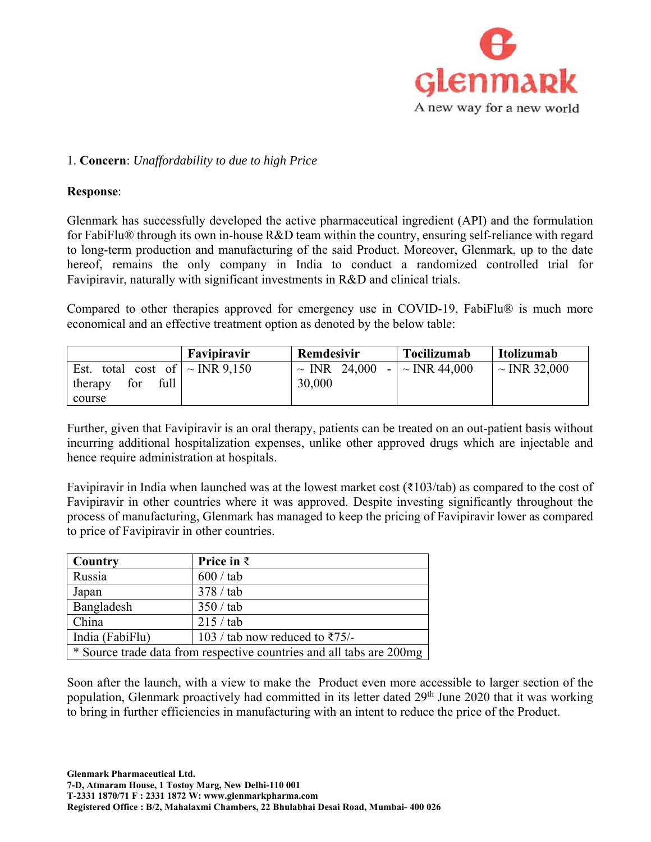

## 1. **Concern**: *Unaffordability to due to high Price*

#### **Response**:

Glenmark has successfully developed the active pharmaceutical ingredient (API) and the formulation for FabiFlu® through its own in-house R&D team within the country, ensuring self-reliance with regard to long-term production and manufacturing of the said Product. Moreover, Glenmark, up to the date hereof, remains the only company in India to conduct a randomized controlled trial for Favipiravir, naturally with significant investments in R&D and clinical trials.

Compared to other therapies approved for emergency use in COVID-19, FabiFlu® is much more economical and an effective treatment option as denoted by the below table:

|                                        | Favipiravir | Remdesivir        | <b>Tocilizumab</b> | Itolizumab        |
|----------------------------------------|-------------|-------------------|--------------------|-------------------|
| total cost of $\sim$ INR 9.150<br>Est. |             | $\sim$ INR 24,000 | $ \sim$ INR 44,000 | $\sim$ INR 32,000 |
| full<br>for<br>therapy                 |             | 30,000            |                    |                   |
| course                                 |             |                   |                    |                   |

Further, given that Favipiravir is an oral therapy, patients can be treated on an out-patient basis without incurring additional hospitalization expenses, unlike other approved drugs which are injectable and hence require administration at hospitals.

Favipiravir in India when launched was at the lowest market cost (₹103/tab) as compared to the cost of Favipiravir in other countries where it was approved. Despite investing significantly throughout the process of manufacturing, Glenmark has managed to keep the pricing of Favipiravir lower as compared to price of Favipiravir in other countries.

| Country                                                              | Price in $\bar{z}$                          |  |
|----------------------------------------------------------------------|---------------------------------------------|--|
| Russia                                                               | $600 / \text{tab}$                          |  |
| Japan                                                                | 378 / tab                                   |  |
| Bangladesh                                                           | 350 / tab                                   |  |
| China                                                                | 215 / tab                                   |  |
| India (FabiFlu)                                                      | 103 / tab now reduced to $\overline{575/-}$ |  |
| * Source trade data from respective countries and all tabs are 200mg |                                             |  |

Soon after the launch, with a view to make the Product even more accessible to larger section of the population, Glenmark proactively had committed in its letter dated 29<sup>th</sup> June 2020 that it was working to bring in further efficiencies in manufacturing with an intent to reduce the price of the Product.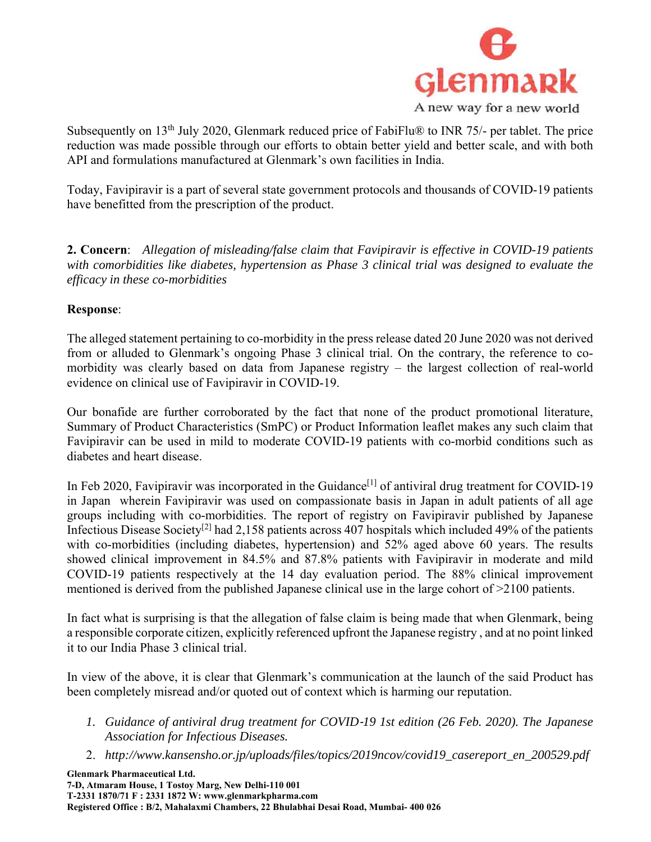

Subsequently on 13<sup>th</sup> July 2020, Glenmark reduced price of FabiFlu® to INR 75/- per tablet. The price reduction was made possible through our efforts to obtain better yield and better scale, and with both API and formulations manufactured at Glenmark's own facilities in India.

Today, Favipiravir is a part of several state government protocols and thousands of COVID-19 patients have benefitted from the prescription of the product.

**2. Concern**: *Allegation of misleading/false claim that Favipiravir is effective in COVID-19 patients with comorbidities like diabetes, hypertension as Phase 3 clinical trial was designed to evaluate the efficacy in these co-morbidities*

## **Response**:

The alleged statement pertaining to co-morbidity in the press release dated 20 June 2020 was not derived from or alluded to Glenmark's ongoing Phase 3 clinical trial. On the contrary, the reference to comorbidity was clearly based on data from Japanese registry – the largest collection of real-world evidence on clinical use of Favipiravir in COVID-19.

Our bonafide are further corroborated by the fact that none of the product promotional literature, Summary of Product Characteristics (SmPC) or Product Information leaflet makes any such claim that Favipiravir can be used in mild to moderate COVID-19 patients with co-morbid conditions such as diabetes and heart disease.

In Feb 2020, Favipiravir was incorporated in the Guidance<sup>[1]</sup> of antiviral drug treatment for COVID-19 in Japan wherein Favipiravir was used on compassionate basis in Japan in adult patients of all age groups including with co-morbidities. The report of registry on Favipiravir published by Japanese Infectious Disease Society<sup>[2]</sup> had 2,158 patients across 407 hospitals which included 49% of the patients with co-morbidities (including diabetes, hypertension) and 52% aged above 60 years. The results showed clinical improvement in 84.5% and 87.8% patients with Favipiravir in moderate and mild COVID-19 patients respectively at the 14 day evaluation period. The 88% clinical improvement mentioned is derived from the published Japanese clinical use in the large cohort of  $>2100$  patients.

In fact what is surprising is that the allegation of false claim is being made that when Glenmark, being a responsible corporate citizen, explicitly referenced upfront the Japanese registry , and at no point linked it to our India Phase 3 clinical trial.

In view of the above, it is clear that Glenmark's communication at the launch of the said Product has been completely misread and/or quoted out of context which is harming our reputation.

- *1. Guidance of antiviral drug treatment for COVID*‐*19 1st edition (26 Feb. 2020). The Japanese Association for Infectious Diseases.*
- 2. *http://www.kansensho.or.jp/uploads/files/topics/2019ncov/covid19\_casereport\_en\_200529.pdf*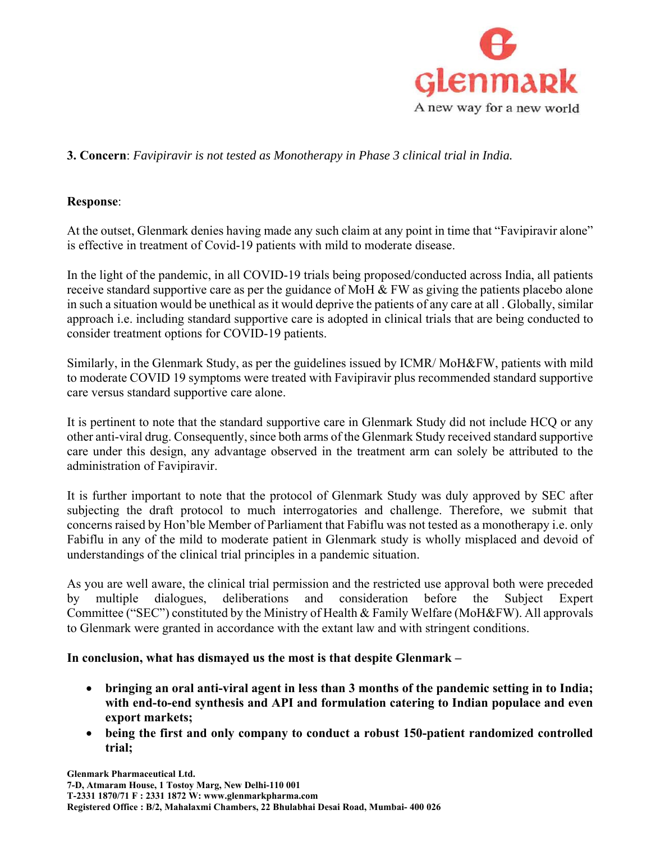

# **3. Concern**: *Favipiravir is not tested as Monotherapy in Phase 3 clinical trial in India.*

#### **Response**:

At the outset, Glenmark denies having made any such claim at any point in time that "Favipiravir alone" is effective in treatment of Covid-19 patients with mild to moderate disease.

In the light of the pandemic, in all COVID-19 trials being proposed/conducted across India, all patients receive standard supportive care as per the guidance of MoH  $&$  FW as giving the patients placebo alone in such a situation would be unethical as it would deprive the patients of any care at all . Globally, similar approach i.e. including standard supportive care is adopted in clinical trials that are being conducted to consider treatment options for COVID-19 patients.

Similarly, in the Glenmark Study, as per the guidelines issued by ICMR/ MoH&FW, patients with mild to moderate COVID 19 symptoms were treated with Favipiravir plus recommended standard supportive care versus standard supportive care alone.

It is pertinent to note that the standard supportive care in Glenmark Study did not include HCQ or any other anti-viral drug. Consequently, since both arms of the Glenmark Study received standard supportive care under this design, any advantage observed in the treatment arm can solely be attributed to the administration of Favipiravir.

It is further important to note that the protocol of Glenmark Study was duly approved by SEC after subjecting the draft protocol to much interrogatories and challenge. Therefore, we submit that concerns raised by Hon'ble Member of Parliament that Fabiflu was not tested as a monotherapy i.e. only Fabiflu in any of the mild to moderate patient in Glenmark study is wholly misplaced and devoid of understandings of the clinical trial principles in a pandemic situation.

As you are well aware, the clinical trial permission and the restricted use approval both were preceded by multiple dialogues, deliberations and consideration before the Subject Expert Committee ("SEC") constituted by the Ministry of Health & Family Welfare (MoH&FW). All approvals to Glenmark were granted in accordance with the extant law and with stringent conditions.

#### **In conclusion, what has dismayed us the most is that despite Glenmark –**

- **bringing an oral anti-viral agent in less than 3 months of the pandemic setting in to India; with end-to-end synthesis and API and formulation catering to Indian populace and even export markets;**
- **being the first and only company to conduct a robust 150-patient randomized controlled trial;**